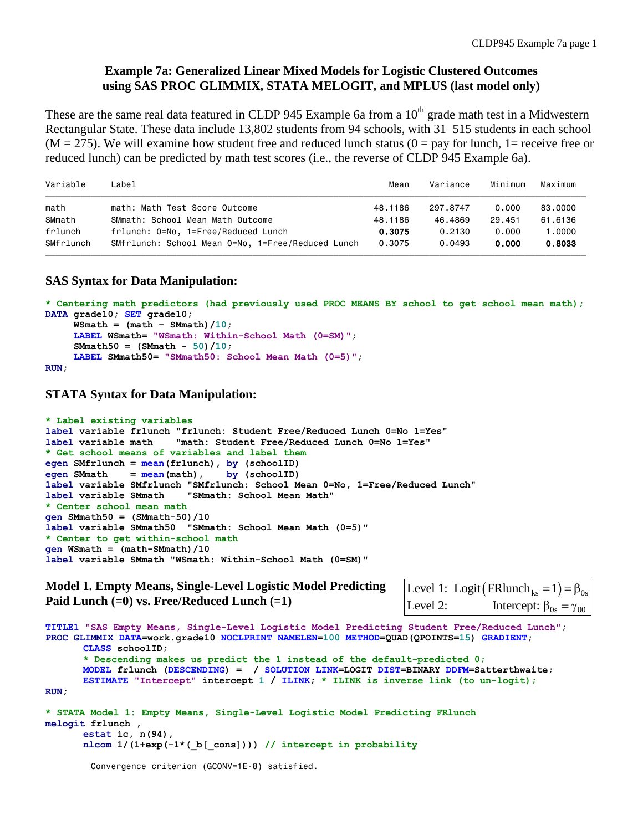# **Example 7a: Generalized Linear Mixed Models for Logistic Clustered Outcomes using SAS PROC GLIMMIX, STATA MELOGIT, and MPLUS (last model only)**

These are the same real data featured in CLDP 945 Example 6a from a  $10<sup>th</sup>$  grade math test in a Midwestern Rectangular State. These data include 13,802 students from 94 schools, with 31–515 students in each school  $(M = 275)$ . We will examine how student free and reduced lunch status  $(0 = pay$  for lunch, 1 = receive free or reduced lunch) can be predicted by math test scores (i.e., the reverse of CLDP 945 Example 6a).

| Variable  | Label                                             | Mean    | Variance | Minimum | Maximum |
|-----------|---------------------------------------------------|---------|----------|---------|---------|
| math      | math: Math Test Score Outcome                     | 48.1186 | 297.8747 | 0.000   | 83,0000 |
| SMmath    | SMmath: School Mean Math Outcome                  | 48.1186 | 46.4869  | 29.451  | 61,6136 |
| frlunch   | frlunch: 0=No, 1=Free/Reduced Lunch               | 0.3075  | 0.2130   | 0.000   | 1,0000  |
| SMfrlunch | SMfrlunch: School Mean 0=No, 1=Free/Reduced Lunch | 0.3075  | 0.0493   | 0.000   | 0.8033  |
|           |                                                   |         |          |         |         |

# **SAS Syntax for Data Manipulation:**

```
* Centering math predictors (had previously used PROC MEANS BY school to get school mean math);
DATA grade10; SET grade10;
     WSmath = (math - SMmath) / 10;
      LABEL WSmath= "WSmath: Within-School Math (0=SM)";
      SMmath50 = (SMmath - 50)/10; 
      LABEL SMmath50= "SMmath50: School Mean Math (0=5)";
RUN;
```
**STATA Syntax for Data Manipulation:**

```
* Label existing variables
label variable frlunch "frlunch: Student Free/Reduced Lunch 0=No 1=Yes"
label variable math "math: Student Free/Reduced Lunch 0=No 1=Yes"
* Get school means of variables and label them
egen SMfrlunch = mean(frlunch), by (schoolID)
egen SMmath = mean(math), by (schoolID)
label variable SMfrlunch "SMfrlunch: School Mean 0=No, 1=Free/Reduced Lunch"
label variable SMmath "SMmath: School Mean Math"
* Center school mean math
gen SMmath50 = (SMmath-50)/10
label variable SMmath50 "SMmath: School Mean Math (0=5)"
* Center to get within-school math
gen WSmath = (math-SMmath)/10
label variable SMmath "WSmath: Within-School Math (0=SM)"
```
**Model 1. Empty Means, Single-Level Logistic Model Predicting Paid Lunch (=0) vs. Free/Reduced Lunch (=1)**

Level 2: Intercept:  $\beta_{0s} = \gamma_{00}$ Level 1: Logit  $\left(\text{FRlunch}_{\text{ks}}=1\right) = \beta_{0s}$  $= 1$ ) =  $\beta_{0s}$ <br> $\beta_{0s} = \gamma_{00}$ 

```
TITLE1 "SAS Empty Means, Single-Level Logistic Model Predicting Student Free/Reduced Lunch";
PROC GLIMMIX DATA=work.grade10 NOCLPRINT NAMELEN=100 METHOD=QUAD(QPOINTS=15) GRADIENT;
         CLASS schoolID;
         * Descending makes us predict the 1 instead of the default-predicted 0;
         MODEL frlunch (DESCENDING) = / SOLUTION LINK=LOGIT DIST=BINARY DDFM=Satterthwaite;
         ESTIMATE "Intercept" intercept 1 / ILINK; * ILINK is inverse link (to un-logit);
RUN;
* STATA Model 1: Empty Means, Single-Level Logistic Model Predicting FRlunch
melogit frlunch , 
         estat ic, n(94),
         nlcom 1/(1+exp(-1*(_b[_cons]))) // intercept in probability
Model 1. Empty Means, Single-Level Logistic Model Predicting \begin{array}{|l|l|} \hline \text{Level 1: Logit (FRlunch}_s = 1) = \beta_{0s} \ \hline \text{Paid Lunch} = 0) \ \text{vs. Free/Reduced Lunch} = 10 & \text{Level 2:} & \text{Intercept: } \beta_{0s} = \gamma_{00} \ \hline \text{Trmet} = 1 \ \text{``SAS school1F} \ \hline \text{PROC GLIMMIX } \text{DATA} = \text{vork}. \ \text
```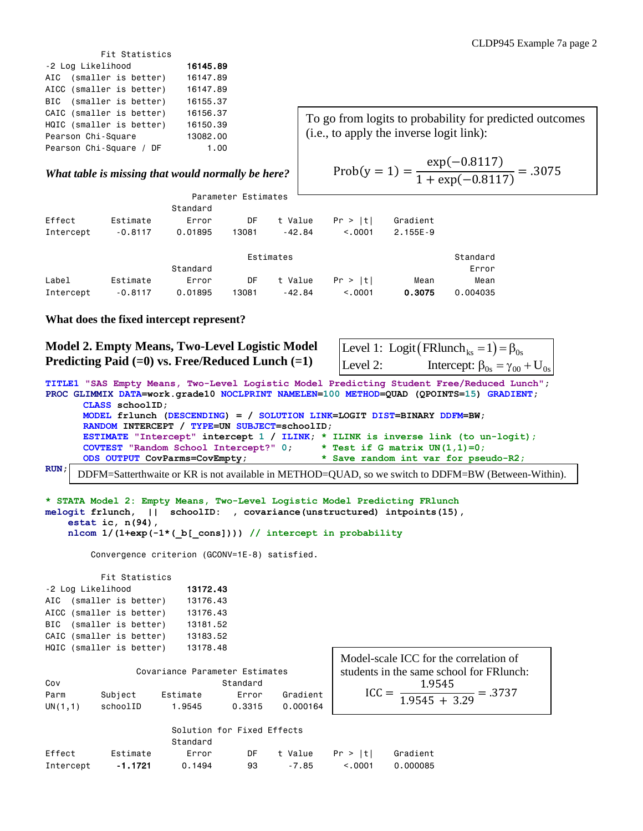| Fit Statistics           |  |  |          |  |  |  |  |  |
|--------------------------|--|--|----------|--|--|--|--|--|
| -2 Log Likelihood        |  |  | 16145.89 |  |  |  |  |  |
| AIC (smaller is better)  |  |  | 16147.89 |  |  |  |  |  |
| AICC (smaller is better) |  |  | 16147.89 |  |  |  |  |  |
| BIC (smaller is better)  |  |  | 16155.37 |  |  |  |  |  |
| CAIC (smaller is better) |  |  | 16156.37 |  |  |  |  |  |
| HQIC (smaller is better) |  |  | 16150.39 |  |  |  |  |  |
| Pearson Chi-Square       |  |  | 13082,00 |  |  |  |  |  |
| Pearson Chi-Square / DF  |  |  | 1.00     |  |  |  |  |  |
|                          |  |  |          |  |  |  |  |  |

#### *What table is missing that would normally be here?*

|           |           |          | Parameter Estimates |           |          |            |          |
|-----------|-----------|----------|---------------------|-----------|----------|------------|----------|
|           |           | Standard |                     |           |          |            |          |
| Effect    | Estimate  | Error    | DF                  | t Value   | Pr >  t  | Gradient   |          |
| Intercept | $-0.8117$ | 0.01895  | 13081               | $-42.84$  | < 0.0001 | $2.155E-9$ |          |
|           |           |          |                     | Estimates |          |            | Standard |
|           |           | Standard |                     |           |          |            | Error    |
| Label     | Estimate  | Error    | DF                  | t Value   | Pr >  t  | Mean       | Mean     |
| Intercept | $-0.8117$ | 0.01895  | 13081               | $-42.84$  | < 0.001  | 0.3075     | 0.004035 |

### **What does the fixed intercept represent?**

## **Model 2. Empty Means, Two-Level Logistic Model Predicting Paid (=0) vs. Free/Reduced Lunch (=1)**

|          | Level 1: Logit (FRlunch <sub>ks</sub> = 1) = $\beta_{0s}$ |
|----------|-----------------------------------------------------------|
| Level 2: | Intercept: $\beta_{0s} = \gamma_{00} + U_{0s}$            |

exp(−0.8117)

To go from logits to probability for predicted outcomes

 $\frac{\text{exp}(-0.8117)}{1 + \text{exp}(-0.8117)} = .3075$ 

 $Prob(y = 1) =$ 

(i.e., to apply the inverse logit link):

**TITLE1 "SAS Empty Means, Two-Level Logistic Model Predicting Student Free/Reduced Lunch"; PROC GLIMMIX DATA=work.grade10 NOCLPRINT NAMELEN=100 METHOD=QUAD (QPOINTS=15) GRADIENT; CLASS schoolID; MODEL frlunch (DESCENDING) = / SOLUTION LINK=LOGIT DIST=BINARY DDFM=BW; RANDOM INTERCEPT / TYPE=UN SUBJECT=schoolID; ESTIMATE "Intercept" intercept 1 / ILINK; \* ILINK is inverse link (to un-logit); COVTEST "Random School Intercept?" 0; \* Test if G matrix UN(1,1)=0; ODS OUTPUT CovParms=CovEmpty; \* Save random int var for pseudo-R2;**

**RUN;** DDFM=Satterthwaite or KR is not available in METHOD=QUAD, so we switch to DDFM=BW (Between-Within).

#### **\* STATA Model 2: Empty Means, Two-Level Logistic Model Predicting FRlunch melogit frlunch, || schoolID: , covariance(unstructured) intpoints(15), estat ic, n(94), nlcom 1/(1+exp(-1\*(\_b[\_cons]))) // intercept in probability**

Convergence criterion (GCONV=1E-8) satisfied.

|                   |                          | Fit Statistics |          |
|-------------------|--------------------------|----------------|----------|
| -2 Log Likelihood | 13172.43                 |                |          |
|                   | AIC (smaller is better)  |                | 13176.43 |
|                   | AICC (smaller is better) |                | 13176.43 |
|                   | BIC (smaller is better)  |                | 13181.52 |
|                   | CAIC (smaller is better) |                | 13183.52 |
|                   | HQIC (smaller is better) |                | 13178.48 |
|                   |                          |                |          |

|         |          | Covariance Parameter Estimates |          |          |
|---------|----------|--------------------------------|----------|----------|
| Cov     |          |                                | Standard |          |
| Parm    | Subject  | Estimate                       | Frror    | Gradient |
| UN(1,1) | schoolID | 1.9545                         | 0.3315   | 0.000164 |

 $\text{ICC} =$ 1.9545  $\frac{1.9545}{1.9545 + 3.29} = .3737$ Model-scale ICC for the correlation of students in the same school for FRlunch:

|           |          | Standard |     |       |                                  |          |
|-----------|----------|----------|-----|-------|----------------------------------|----------|
| Effect    | Estimate | Error    |     |       | $DF$ t Value $Pr >  t $ Gradient |          |
| Intercept | - 1.1721 | 0.1494   | 93. | -7.85 | < 0.0001                         | 0.000085 |

Solution for Fixed Effects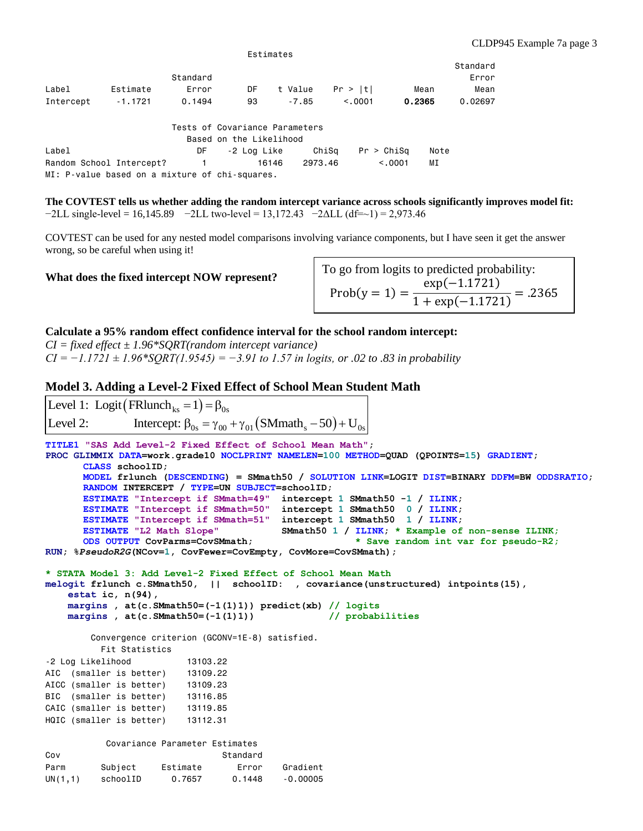|           |           |          |    |         |         |        | Standard |
|-----------|-----------|----------|----|---------|---------|--------|----------|
|           |           | Standard |    |         |         |        | Error    |
| Label     | Estimate  | Error    | DF | t Value | Pr >  t | Mean   | Mean     |
| Intercept | $-1.1721$ | 0.1494   | 93 | -7.85   | < 0.001 | 0.2365 | 0.02697  |

Estimates

|                                                | Tests of Covariance Parameters |         |                  |      |
|------------------------------------------------|--------------------------------|---------|------------------|------|
|                                                | Based on the Likelihood        |         |                  |      |
| Label                                          | DF -2 Loa Like                 |         | ChiSa Pr > ChiSa | Note |
| Random School Intercept?                       | 16146<br>$\sim$ 1 and $\sim$ 1 | 2973.46 | < 0.001          | ΜI   |
| MI: P-value based on a mixture of chi-squares. |                                |         |                  |      |

**The COVTEST tells us whether adding the random intercept variance across schools significantly improves model fit:**   $-2LL$  single-level = 16,145.89  $-2LL$  two-level = 13,172.43  $-2ALL$  (df=~1) = 2,973.46

COVTEST can be used for any nested model comparisons involving variance components, but I have seen it get the answer wrong, so be careful when using it!

#### **What does the fixed intercept NOW represent?**

 $Prob(y = 1) =$ exp(−1.1721)  $\frac{\text{exp}(-1.1721)}{1 + \text{exp}(-1.1721)} = .2365$ To go from logits to predicted probability:

#### **Calculate a 95% random effect confidence interval for the school random intercept:**

*CI = fixed effect ± 1.96\*SQRT(random intercept variance) CI = −1.1721 ± 1.96\*SQRT(1.9545) = −3.91 to 1.57 in logits, or .02 to .83 in probability*

#### **Model 3. Adding a Level-2 Fixed Effect of School Mean Student Math**

```
TITLE1 "SAS Add Level-2 Fixed Effect of School Mean Math";
PROC GLIMMIX DATA=work.grade10 NOCLPRINT NAMELEN=100 METHOD=QUAD (QPOINTS=15) GRADIENT;
       CLASS schoolID;
       MODEL frlunch (DESCENDING) = SMmath50 / SOLUTION LINK=LOGIT DIST=BINARY DDFM=BW ODDSRATIO;
       RANDOM INTERCEPT / TYPE=UN SUBJECT=schoolID;
       ESTIMATE "Intercept if SMmath=49" intercept 1 SMmath50 -1 / ILINK; 
       ESTIMATE "Intercept if SMmath=50" intercept 1 SMmath50 0 / ILINK; 
       ESTIMATE "Intercept if SMmath=51" intercept 1 SMmath50 1 / ILINK; 
       ESTIMATE "L2 Math Slope" SMmath50 1 / ILINK; * Example of non-sense ILINK;
       ODS OUTPUT CovParms=CovSMmath; * Save random int var for pseudo-R2;
RUN; %PseudoR2G(NCov=1, CovFewer=CovEmpty, CovMore=CovSMmath);
* STATA Model 3: Add Level-2 Fixed Effect of School Mean Math
melogit frlunch c.SMmath50, || schoolID: , covariance(unstructured) intpoints(15),
     estat ic, n(94),
     margins , at(c.SMmath50=(-1(1)1)) predict(xb) // logits
     margins , at(c.SMmath50=(-1(1)1)) // probabilities
          Convergence criterion (GCONV=1E-8) satisfied.
            Fit Statistics
-2 Log Likelihood 13103.22
AIC (smaller is better) 13109.22
AICC (smaller is better) 13109.23
BIC (smaller is better) 13116.85
CAIC (smaller is better) 13119.85
HQIC (smaller is better) 13112.31
             Covariance Parameter Estimates
Cov Standard
Parm Subject Estimate Error Gradient
Level 1: Logit (FRlunch<sub>ks</sub> = 1) = \beta_{0s}<br>
Level 2: Intercept: \beta_{0s} = \gamma_{00} + \gamma_{01} (SMmath<sub>s</sub> -5<br>
TITLE1 "SAS Add Level-2 Fixed Effect of School Me<br>
PROC GLIMMIX DATA=work.grade10 NOCLFRINT NAMELEN=<br>
MODEL friumon (D
Level 2: Intercept: \beta_{0s} = \gamma_{00} + \gamma_{01} (SMmath_s - 50) + U_{0s}Level 1: Logit (FRlunch<sub>ks</sub> = 1) = \beta_{0s}
```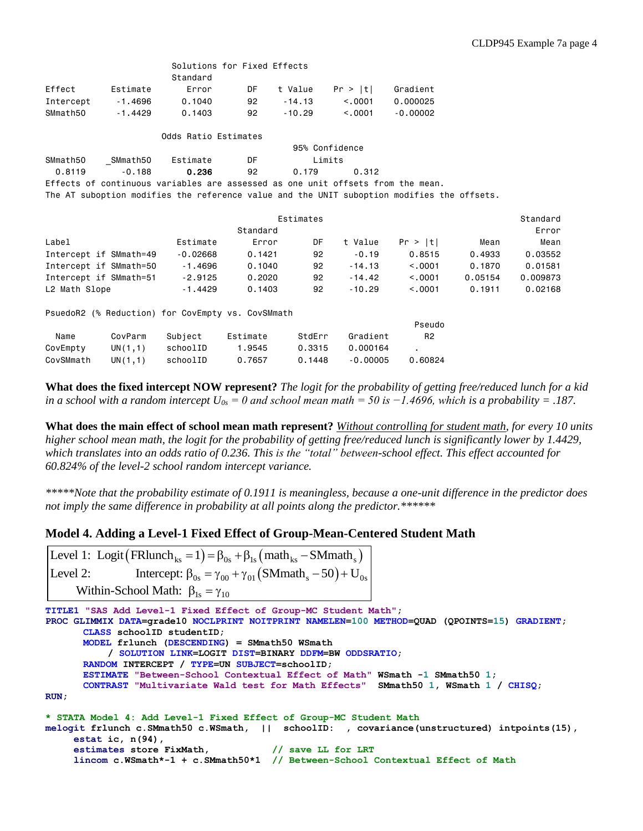|               |                                                                                            |                      | Solutions for Fixed Effects |                |          |                |         |          |
|---------------|--------------------------------------------------------------------------------------------|----------------------|-----------------------------|----------------|----------|----------------|---------|----------|
|               |                                                                                            | Standard             |                             |                |          |                |         |          |
| Effect        | Estimate                                                                                   | Error                | DF                          | t Value        | Pr >  t  | Gradient       |         |          |
| Intercept     | $-1.4696$                                                                                  | 0.1040               | 92                          | $-14.13$       | < 0.0001 | 0.000025       |         |          |
| SMmath50      | $-1.4429$                                                                                  | 0.1403               | 92                          | $-10.29$       | < 0.0001 | $-0.00002$     |         |          |
|               |                                                                                            | Odds Ratio Estimates |                             |                |          |                |         |          |
|               |                                                                                            |                      |                             | 95% Confidence |          |                |         |          |
| SMmath50      | SMmath50                                                                                   | Estimate             | DF                          | Limits         |          |                |         |          |
| 0.8119        | $-0.188$                                                                                   | 0.236                | 92                          | 0.179          | 0.312    |                |         |          |
|               | Effects of continuous variables are assessed as one unit offsets from the mean.            |                      |                             |                |          |                |         |          |
|               | The AT suboption modifies the reference value and the UNIT suboption modifies the offsets. |                      |                             |                |          |                |         |          |
|               |                                                                                            |                      |                             | Estimates      |          |                |         | Standard |
|               |                                                                                            |                      | Standard                    |                |          |                |         | Error    |
| Label         |                                                                                            | Estimate             | Error                       | DF             | t Value  | Pr >  t        | Mean    | Mean     |
|               | Intercept if SMmath=49                                                                     | $-0.02668$           | 0.1421                      | 92             | $-0.19$  | 0.8515         | 0.4933  | 0.03552  |
|               | Intercept if SMmath=50                                                                     | $-1.4696$            | 0.1040                      | 92             | $-14.13$ | < 0.0001       | 0.1870  | 0.01581  |
|               | Intercept if SMmath=51                                                                     | $-2.9125$            | 0,2020                      | 92             | $-14.42$ | < 0.0001       | 0.05154 | 0.009873 |
| L2 Math Slope |                                                                                            | $-1.4429$            | 0.1403                      | 92             | $-10.29$ | < 0.0001       | 0.1911  | 0.02168  |
|               | PsuedoR2 (% Reduction) for CovEmpty vs. CovSMmath                                          |                      |                             |                |          |                |         |          |
|               |                                                                                            |                      |                             |                |          | Pseudo         |         |          |
| Name          | CovParm                                                                                    | Subject              | Estimate                    | StdErr         | Gradient | R <sub>2</sub> |         |          |
| CovEmpty      | UN(1,1)                                                                                    | schoolID             | 1.9545                      | 0.3315         | 0.000164 | ٠.             |         |          |

**What does the fixed intercept NOW represent?** *The logit for the probability of getting free/reduced lunch for a kid in a school with a random intercept*  $U_{0s} = 0$  and school mean math = 50 is -1.4696, which is a probability = .187.

**What does the main effect of school mean math represent?** *Without controlling for student math, for every 10 units higher school mean math, the logit for the probability of getting free/reduced lunch is significantly lower by 1.4429, which translates into an odds ratio of 0.236. This is the "total" between-school effect. This effect accounted for 60.824% of the level-2 school random intercept variance.*

*\*\*\*\*\*Note that the probability estimate of 0.1911 is meaningless, because a one-unit difference in the predictor does not imply the same difference in probability at all points along the predictor.\*\*\*\*\*\**

## **Model 4. Adding a Level-1 Fixed Effect of Group-Mean-Centered Student Math**

CovSMmath UN(1,1) schoolID 0.7657 0.1448 -0.00005 0.60824

Level 2: Intercept:  $\beta_{0s} = \gamma_{00} + \gamma_{01} (SMmath_s - 50) + U_{0s}$ Level 1: Logit (FRlunch<sub>ks</sub> = 1) =  $\beta_{0s}$  +  $\beta_{1s}$  (math<sub>ks</sub> – SMmath<sub>s</sub> Within-School Math:  $\beta_{1s} = \gamma_{10}$ 

```
TITLE1 "SAS Add Level-1 Fixed Effect of Group-MC Student Math";
PROC GLIMMIX DATA=grade10 NOCLPRINT NOITPRINT NAMELEN=100 METHOD=QUAD (QPOINTS=15) GRADIENT;
        CLASS schoolID studentID;
        MODEL frlunch (DESCENDING) = SMmath50 WSmath
               / SOLUTION LINK=LOGIT DIST=BINARY DDFM=BW ODDSRATIO;
        RANDOM INTERCEPT / TYPE=UN SUBJECT=schoolID;
        ESTIMATE "Between-School Contextual Effect of Math" WSmath -1 SMmath50 1;
        CONTRAST "Multivariate Wald test for Math Effects" SMmath50 1, WSmath 1 / CHISQ;
RUN;
* STATA Model 4: Add Level-1 Fixed Effect of Group-MC Student Math
melogit frlunch c.SMmath50 c.WSmath, || schoolID: , covariance(unstructured) intpoints(15),
       estat ic, n(94),
       estimates store FixMath, // save LL for LRT
Level 1: Logit \left( \text{FRlunch}_{ks} = 1 \right) = \beta_{0s} + \beta_{1s} \left( \text{math}_{ks} - \text{SMmath}_s \right)<br>
Level 2: Intercept: \beta_{0s} = \gamma_{00} + \gamma_{01} \left( \text{SMmath}_s - 50 \right) + U_{0s}<br>
Within-School Math: \beta_{1s} = \gamma_{10}<br>
TITLE1 "SAS add Level-1 Fixed Effect of G
```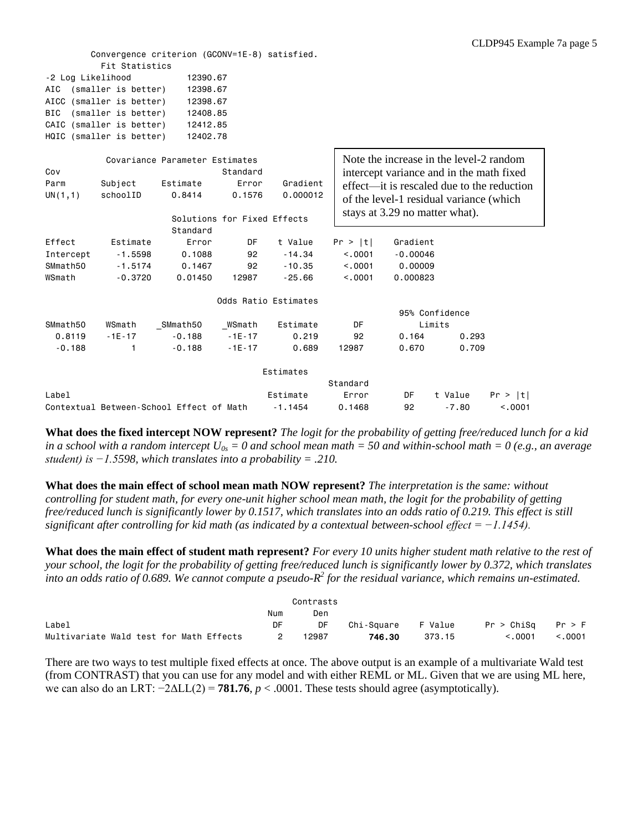|                   | Convergence criterion (GCONV=1E-8) satisfied. |                                |                             |           |          |                                          |                |                                            |
|-------------------|-----------------------------------------------|--------------------------------|-----------------------------|-----------|----------|------------------------------------------|----------------|--------------------------------------------|
|                   | Fit Statistics                                |                                |                             |           |          |                                          |                |                                            |
| -2 Log Likelihood |                                               | 12390.67                       |                             |           |          |                                          |                |                                            |
| AIC               | (smaller is better)                           | 12398.67                       |                             |           |          |                                          |                |                                            |
|                   | AICC (smaller is better)                      | 12398.67                       |                             |           |          |                                          |                |                                            |
| <b>BIC</b>        | (smaller is better)                           | 12408.85                       |                             |           |          |                                          |                |                                            |
|                   | CAIC (smaller is better)                      | 12412.85                       |                             |           |          |                                          |                |                                            |
|                   | HQIC (smaller is better)                      | 12402.78                       |                             |           |          |                                          |                |                                            |
|                   |                                               |                                |                             |           |          |                                          |                |                                            |
|                   |                                               | Covariance Parameter Estimates |                             |           |          | Note the increase in the level-2 random  |                |                                            |
| Cov               |                                               |                                | Standard                    |           |          | intercept variance and in the math fixed |                |                                            |
| Parm              | Subject                                       | Estimate                       | Error                       | Gradient  |          |                                          |                | effect—it is rescaled due to the reduction |
| UN(1,1)           | schoolID                                      | 0.8414                         | 0.1576                      | 0.000012  |          | of the level-1 residual variance (which  |                |                                            |
|                   |                                               |                                |                             |           |          | stays at 3.29 no matter what).           |                |                                            |
|                   |                                               |                                | Solutions for Fixed Effects |           |          |                                          |                |                                            |
|                   |                                               | Standard                       |                             |           |          |                                          |                |                                            |
| Effect            | Estimate                                      | Error                          | DF                          | t Value   | Pr >  t  | Gradient                                 |                |                                            |
| Intercept         | $-1.5598$                                     | 0.1088                         | 92                          | $-14.34$  | < 0.001  | $-0.00046$                               |                |                                            |
| SMmath50          | $-1.5174$                                     | 0.1467                         | 92                          | $-10.35$  | < 0.001  | 0.00009                                  |                |                                            |
| WSmath            | $-0.3720$                                     | 0.01450                        | 12987                       | $-25.66$  | < 0.001  | 0.000823                                 |                |                                            |
|                   |                                               |                                | Odds Ratio Estimates        |           |          |                                          |                |                                            |
|                   |                                               |                                |                             |           |          |                                          | 95% Confidence |                                            |
| SMmath50          | WSmath                                        | SMmath50                       | WSmath                      | Estimate  | DF       |                                          | Limits         |                                            |
| 0.8119            | $-1E-17$                                      | $-0.188$                       | $-1E - 17$                  | 0.219     | 92       | 0.164                                    | 0.293          |                                            |
| $-0.188$          | 1                                             | $-0.188$                       | $-1E-17$                    | 0.689     | 12987    | 0.670                                    | 0.709          |                                            |
|                   |                                               |                                |                             |           |          |                                          |                |                                            |
|                   |                                               |                                |                             | Estimates |          |                                          |                |                                            |
|                   |                                               |                                |                             |           | Standard |                                          |                |                                            |
| Label             |                                               |                                |                             | Estimate  | Error    | DF                                       | t Value        | Pr >  t                                    |
|                   | Contextual Between-School Effect of Math      |                                |                             | $-1.1454$ | 0.1468   | 92                                       | $-7.80$        | < 0.001                                    |

**What does the fixed intercept NOW represent?** *The logit for the probability of getting free/reduced lunch for a kid in a school with a random intercept U0s = 0 and school mean math = 50 and within-school math = 0 (e.g., an average student) is −1.5598, which translates into a probability = .210.*

**What does the main effect of school mean math NOW represent?** *The interpretation is the same: without controlling for student math, for every one-unit higher school mean math, the logit for the probability of getting free/reduced lunch is significantly lower by 0.1517, which translates into an odds ratio of 0.219. This effect is still significant after controlling for kid math (as indicated by a contextual between-school effect = −1.1454).*

**What does the main effect of student math represent?** *For every 10 units higher student math relative to the rest of your school, the logit for the probability of getting free/reduced lunch is significantly lower by 0.372, which translates*  into an odds ratio of 0.689. We cannot compute a pseudo- $R^2$  for the residual variance, which remains un-estimated.

|                                         |     | Contrasts |                    |        |                       |         |
|-----------------------------------------|-----|-----------|--------------------|--------|-----------------------|---------|
|                                         | Num | Den       |                    |        |                       |         |
| Label                                   | DF  | DF        | Chi-Square F Value |        | $Pr > ChiSq$ $Pr > F$ |         |
| Multivariate Wald test for Math Effects |     | 12987     | 746.30             | 373.15 | < 0.001               | < 0.001 |

There are two ways to test multiple fixed effects at once. The above output is an example of a multivariate Wald test (from CONTRAST) that you can use for any model and with either REML or ML. Given that we are using ML here, we can also do an LRT:  $-2\Delta LL(2) = 781.76$ ,  $p < .0001$ . These tests should agree (asymptotically).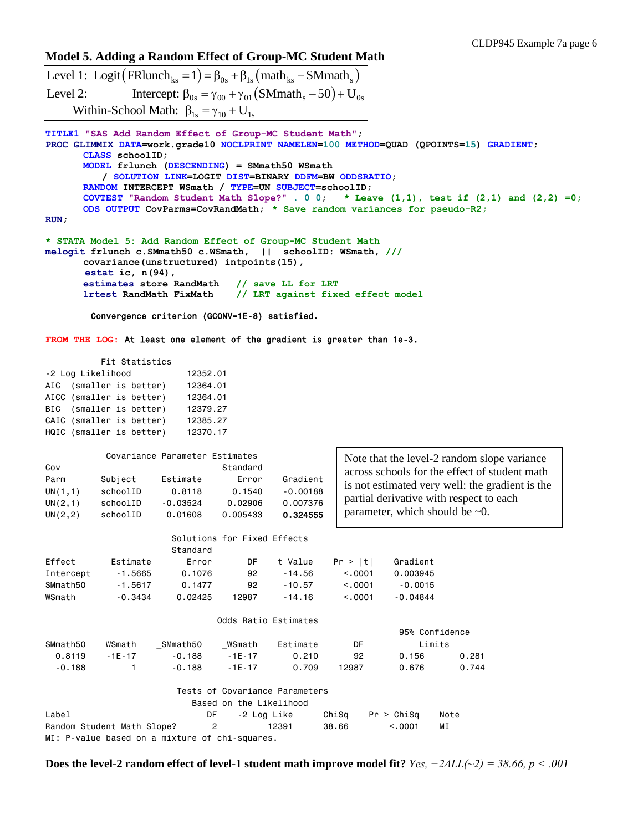## **Model 5. Adding a Random Effect of Group-MC Student Math**

```
Level 1: Logit (FRlunch_{ks} = 1) = \beta_{0s} + \beta_{1s} (math_{ks} - SMmath_{s})Level 2: Intercept: \beta_{0s} = \gamma_{00} + \gamma_{01} (SMmath_s - 50) + U_{0s}Within-School Math: \beta_{1s} = \gamma_{10} + U_{1s}
```

```
TITLE1 "SAS Add Random Effect of Group-MC Student Math";
PROC GLIMMIX DATA=work.grade10 NOCLPRINT NAMELEN=100 METHOD=QUAD (QPOINTS=15) GRADIENT;
      CLASS schoolID;
      MODEL frlunch (DESCENDING) = SMmath50 WSmath
          / SOLUTION LINK=LOGIT DIST=BINARY DDFM=BW ODDSRATIO;
      RANDOM INTERCEPT WSmath / TYPE=UN SUBJECT=schoolID;
      COVTEST "Random Student Math Slope?" . 0 0; * Leave (1,1), test if (2,1) and (2,2) =0;
      ODS OUTPUT CovParms=CovRandMath; * Save random variances for pseudo-R2;
RUN;
* STATA Model 5: Add Random Effect of Group-MC Student Math
melogit frlunch c.SMmath50 c.WSmath, || schoolID: WSmath, ///
      covariance(unstructured) intpoints(15),
       estat ic, n(94),
      estimates store RandMath // save LL for LRT
```

```
lrtest RandMath FixMath // LRT against fixed effect model
```

```
 Convergence criterion (GCONV=1E-8) satisfied.
```
**FROM THE LOG:** At least one element of the gradient is greater than 1e-3.

| Fit Statistics    |                          |  |  |          |  |  |  |  |
|-------------------|--------------------------|--|--|----------|--|--|--|--|
| -2 Log Likelihood | 12352.01                 |  |  |          |  |  |  |  |
|                   | AIC (smaller is better)  |  |  | 12364.01 |  |  |  |  |
|                   | AICC (smaller is better) |  |  | 12364.01 |  |  |  |  |
|                   | BIC (smaller is better)  |  |  | 12379.27 |  |  |  |  |
|                   | CAIC (smaller is better) |  |  | 12385.27 |  |  |  |  |
|                   | HQIC (smaller is better) |  |  | 12370.17 |  |  |  |  |

| Cov                                    |                                             | Covariance Parameter Estimates              | Standard                               |                                                |                                                                                                                                                                                      |                | Note that the level-2 random slope variance |  |
|----------------------------------------|---------------------------------------------|---------------------------------------------|----------------------------------------|------------------------------------------------|--------------------------------------------------------------------------------------------------------------------------------------------------------------------------------------|----------------|---------------------------------------------|--|
| Parm<br>UN(1,1)<br>UN(2,1)<br>UN(2, 2) | Subject<br>schoolID<br>schoolID<br>schoolID | Estimate<br>0.8118<br>$-0.03524$<br>0.01608 | Error<br>0.1540<br>0.02906<br>0.005433 | Gradient<br>$-0.00188$<br>0.007376<br>0.324555 | across schools for the effect of student math<br>is not estimated very well: the gradient is the<br>partial derivative with respect to each<br>parameter, which should be $\sim 0$ . |                |                                             |  |
|                                        |                                             |                                             | Solutions for Fixed Effects            |                                                |                                                                                                                                                                                      |                |                                             |  |
|                                        |                                             | Standard                                    |                                        |                                                |                                                                                                                                                                                      |                |                                             |  |
| Effect                                 | Estimate                                    | Error                                       | DF                                     | t Value                                        | Pr >  t                                                                                                                                                                              | Gradient       |                                             |  |
| Intercept                              | $-1.5665$                                   | 0.1076                                      | 92                                     | $-14.56$                                       | < 0.0001                                                                                                                                                                             | 0.003945       |                                             |  |
| SMmath50                               | $-1.5617$                                   | 0.1477                                      | 92                                     | $-10.57$                                       | < 0.0001                                                                                                                                                                             | $-0.0015$      |                                             |  |
| WSmath                                 | $-0.3434$                                   | 0.02425                                     | 12987                                  | $-14.16$                                       | < .0001                                                                                                                                                                              | $-0.04844$     |                                             |  |
|                                        |                                             |                                             | Odds Ratio Estimates                   |                                                |                                                                                                                                                                                      |                |                                             |  |
|                                        |                                             |                                             |                                        |                                                |                                                                                                                                                                                      | 95% Confidence |                                             |  |
| SMmath50                               | WSmath                                      | SMmath50                                    | WSmath                                 | Estimate                                       | DF                                                                                                                                                                                   | Limits         |                                             |  |
| 0.8119                                 | $-1E-17$                                    | $-0.188$                                    | $-1E-17$                               | 0.210                                          | 92                                                                                                                                                                                   | 0.156          | 0.281                                       |  |
| $-0.188$                               |                                             | $-0.188$                                    | $-1E-17$                               | 0.709                                          | 12987                                                                                                                                                                                | 0.676          | 0.744                                       |  |

|                                                | Tests of Covariance Parameters |             |       |                  |      |  |  |
|------------------------------------------------|--------------------------------|-------------|-------|------------------|------|--|--|
| Based on the Likelihood                        |                                |             |       |                  |      |  |  |
| Label                                          | DF.                            | -2 Log Like |       | ChiSa Pr > ChiSa | Note |  |  |
| Random Student Math Slope?                     | $\overline{2}$                 | 12391       | 38.66 | < 0.001          | МI   |  |  |
| MI: P-value based on a mixture of chi-squares. |                                |             |       |                  |      |  |  |

**Does the level-2 random effect of level-1 student math improve model fit?** *Yes, −2ΔLL(~2) = 38.66, p < .001*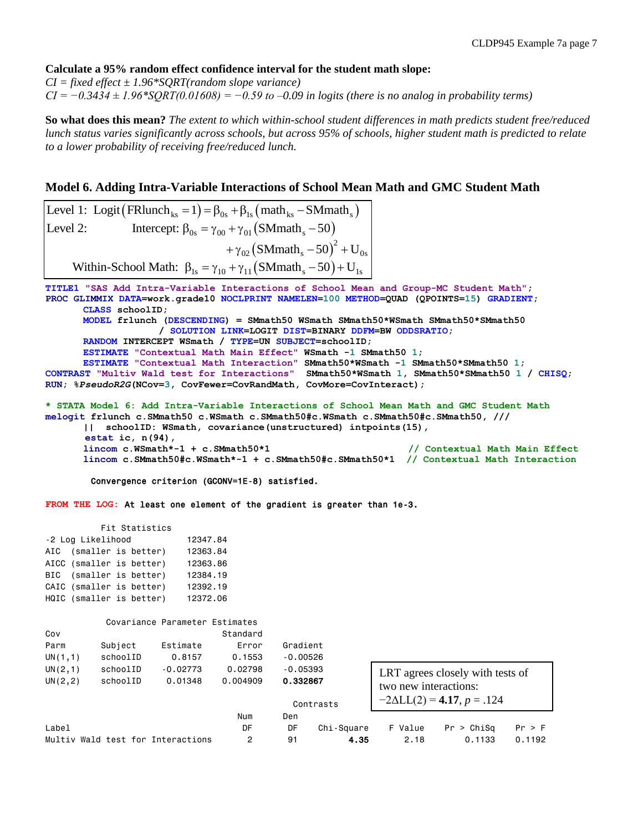#### **Calculate a 95% random effect confidence interval for the student math slope:**

*CI = fixed effect ± 1.96\*SQRT(random slope variance) CI = −0.3434 ± 1.96\*SQRT(0.01608) = −0.59 to –0.09 in logits (there is no analog in probability terms)*

**So what does this mean?** *The extent to which within-school student differences in math predicts student free/reduced lunch status varies significantly across schools, but across 95% of schools, higher student math is predicted to relate to a lower probability of receiving free/reduced lunch.*

## **Model 6. Adding Intra-Variable Interactions of School Mean Math and GMC Student Math**

**TITLE1 "SAS Add Intra-Variable Interactions of School Mean and Group-MC Student Math"; PROC GLIMMIX DATA=work.grade10 NOCLPRINT NAMELEN=100 METHOD=QUAD (QPOINTS=15) GRADIENT; CLASS schoolID; MODEL frlunch (DESCENDING) = SMmath50 WSmath SMmath50\*WSmath SMmath50\*SMmath50 / SOLUTION LINK=LOGIT DIST=BINARY DDFM=BW ODDSRATIO; RANDOM INTERCEPT WSmath / TYPE=UN SUBJECT=schoolID; ESTIMATE "Contextual Math Main Effect" WSmath -1 SMmath50 1; ESTIMATE "Contextual Math Interaction" SMmath50\*WSmath -1 SMmath50\*SMmath50 1; CONTRAST "Multiv Wald test for Interactions" SMmath50\*WSmath 1, SMmath50\*SMmath50 1 / CHISQ; RUN; %***PseudoR2G***(NCov=3, CovFewer=CovRandMath, CovMore=CovInteract);** Model 6. Adding Intra-Variable Interactions of School Mean<br>Level 1: Logit (FRlunch<sub>ks</sub> = 1) =  $\beta_{0s}$  +  $\beta_{1s}$  (math<sub>ks</sub> - SMmath<sub>s</sub>) Level 1: Logit (FRIunch<sub>ks</sub> = 1) =  $\beta_{0s}$  +  $\beta_{1s}$  (math<sub>ks</sub> - SMmath<sub>s</sub>)<br>Level 2: Intercept:  $\beta_{0s} = \gamma_{00} + \gamma_{01}$  (SMmath<sub>s</sub> - 50)<br> $+ \gamma_{02}$  (SMmath<sub>s</sub> - 50)<sup>2</sup> + U  $(SMmath_{s}-50)^{2}$  $v_s + \beta_{1s}$  (math<sub>ks</sub> - SMmath<sub>s</sub>)<br>+  $\gamma_{01}$  (SMmath<sub>s</sub> - 50)<br>+  $\gamma_{02}$  (SMmath<sub>s</sub> - 50)<sup>2</sup> + U<sub>0s</sub> Level 1: Logit (FRlunch<sub>ks</sub> = 1) =  $\beta_{0s}$  +  $\beta_{1s}$  (math<sub>ks</sub> – SMn<br>Level 2: Intercept:  $\beta_{0s} = \gamma_{00} + \gamma_{01}$  (SMmath<sub>s</sub> – 50 Level 2: Intercept:  $\beta_{0s} = \gamma_{00} + \gamma_{01} (SMmath_s - 50)$ <br>  $+ \gamma_{02} (SMmath_s - 50)^2 + U_{0s}$ <br>Within-School Math:  $\beta_{1s} = \gamma_{10} + \gamma_{11} (SMmath_s - 50) + U_{1s}$ ariable Interactions of School M<br>= 1) =  $\beta_{0s}$  +  $\beta_{1s}$  (math<sub>ks</sub> – SMmath<sub>s</sub> ariable Interactions of School Mea<br>= 1) =  $\beta_{0s}$  +  $\beta_{1s}$  (math<sub>ks</sub> – SMmath<sub>s</sub>)<br> $\beta_{0s}$  =  $\gamma_{00}$  +  $\gamma_{01}$  (SMmath<sub>s</sub> – 50)

**\* STATA Model 6: Add Intra-Variable Interactions of School Mean Math and GMC Student Math melogit frlunch c.SMmath50 c.WSmath c.SMmath50#c.WSmath c.SMmath50#c.SMmath50, /// || schoolID: WSmath, covariance(unstructured) intpoints(15), estat ic, n(94),**

```
lincom c.WSmath*-1 + c.SMmath50*1 // Contextual Math Main Effect
lincom c.SMmath50#c.WSmath*-1 + c.SMmath50#c.SMmath50*1 // Contextual Math Interaction
```
Convergence criterion (GCONV=1E-8) satisfied.

**FROM THE LOG:** At least one element of the gradient is greater than 1e-3.

| Fit Statistics    |                          |  |  |          |  |  |  |  |
|-------------------|--------------------------|--|--|----------|--|--|--|--|
| -2 Log Likelihood | 12347.84                 |  |  |          |  |  |  |  |
|                   | AIC (smaller is better)  |  |  | 12363.84 |  |  |  |  |
|                   | AICC (smaller is better) |  |  | 12363.86 |  |  |  |  |
|                   | BIC (smaller is better)  |  |  | 12384.19 |  |  |  |  |
|                   | CAIC (smaller is better) |  |  | 12392.19 |  |  |  |  |
|                   | HQIC (smaller is better) |  |  | 12372.06 |  |  |  |  |

|          |                                   | Covariance Parameter Estimates |          |            |            |                       |                                    |        |
|----------|-----------------------------------|--------------------------------|----------|------------|------------|-----------------------|------------------------------------|--------|
| Cov      |                                   |                                | Standard |            |            |                       |                                    |        |
| Parm     | Subject                           | Estimate                       | Error    | Gradient   |            |                       |                                    |        |
| UN(1,1)  | schoolID                          | 0.8157                         | 0.1553   | $-0.00526$ |            |                       |                                    |        |
| UN(2, 1) | schoolID                          | $-0.02773$                     | 0.02798  | $-0.05393$ |            |                       | LRT agrees closely with tests of   |        |
| UN(2, 2) | schoolID                          | 0.01348                        | 0.004909 | 0.332867   |            | two new interactions: |                                    |        |
|          |                                   |                                |          |            | Contrasts  |                       | $-2\Delta L L(2) = 4.17, p = .124$ |        |
|          |                                   |                                | Num      | Den        |            |                       |                                    |        |
| Label    |                                   |                                | DF       | DF         | Chi-Square | F Value               | Pr > Chisq                         | Pr > F |
|          | Multiv Wald test for Interactions |                                | 2        | 91         | 4.35       | 2.18                  | 0.1133                             | 0.1192 |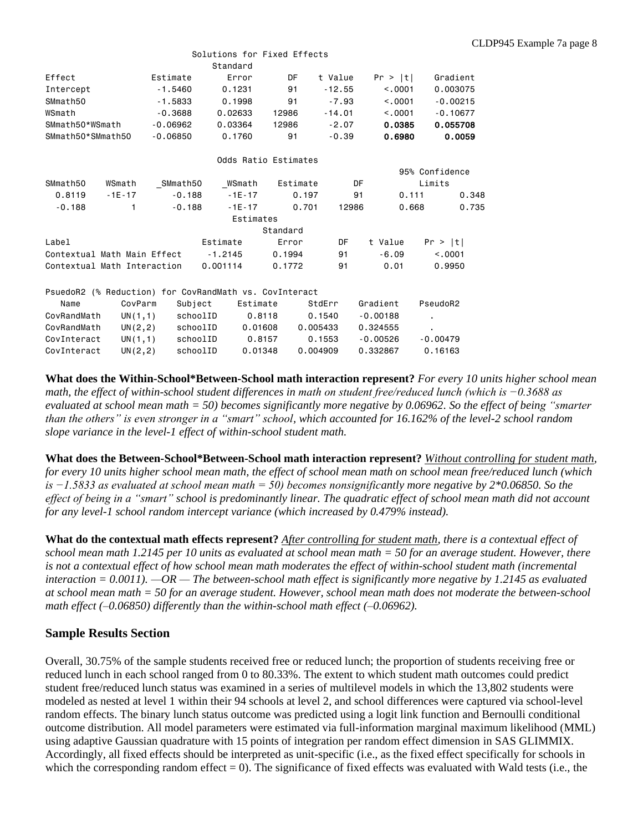|                                                        |          |            | Solutions for Fixed Effects |                      |          |            |                       |
|--------------------------------------------------------|----------|------------|-----------------------------|----------------------|----------|------------|-----------------------|
|                                                        |          |            | Standard                    |                      |          |            |                       |
| Effect                                                 |          | Estimate   | Error                       | DF                   | t Value  | Pr >  t    | Gradient              |
| Intercept                                              |          | $-1.5460$  | 0.1231                      | 91                   | $-12.55$ | < 0.001    | 0.003075              |
| SMmath50                                               |          | $-1.5833$  | 0.1998                      | 91                   | $-7.93$  | < 0.001    | $-0.00215$            |
| WSmath                                                 |          | $-0.3688$  | 0.02633                     | 12986                | $-14.01$ |            | < 0.001<br>$-0.10677$ |
| SMmath50*WSmath                                        |          | $-0.06962$ | 0.03364                     | 12986                | $-2.07$  | 0.0385     | 0.055708              |
| SMmath50*SMmath50                                      |          | $-0.06850$ | 0.1760                      | 91                   | $-0.39$  | 0.6980     | 0.0059                |
|                                                        |          |            |                             | Odds Ratio Estimates |          |            |                       |
|                                                        |          |            |                             |                      |          |            | 95% Confidence        |
| SMmath50                                               | WSmath   | SMmath50   | WSmath                      | Estimate             | DF       |            | Limits                |
| 0.8119                                                 | $-1E-17$ | $-0.188$   | $-1E-17$                    | 0.197                | 91       | 0.111      | 0.348                 |
| $-0.188$                                               | 1        | $-0.188$   | $-1E-17$                    | 0.701                | 12986    | 0.668      | 0.735                 |
|                                                        |          |            | Estimates                   |                      |          |            |                       |
|                                                        |          |            |                             | Standard             |          |            |                       |
| Label                                                  |          |            | Estimate                    | Error                | DF       | t Value    | Pr >  t               |
| Contextual Math Main Effect                            |          |            | $-1.2145$                   | 0.1994               | 91       | $-6.09$    | < .0001               |
| Contextual Math Interaction                            |          |            | 0.001114                    | 0.1772               | 91       | 0.01       | 0.9950                |
| PsuedoR2 (% Reduction) for CovRandMath vs. CovInteract |          |            |                             |                      |          |            |                       |
| Name                                                   | CovParm  | Subject    | Estimate                    |                      | StdErr   | Gradient   | PseudoR2              |
| CovRandMath                                            | UN(1,1)  | schoolID   |                             | 0.8118               | 0.1540   | $-0.00188$ | $\blacksquare$        |
| CovRandMath                                            | UN(2,2)  | schoolID   |                             | 0.01608              | 0.005433 | 0.324555   |                       |
| CovInteract                                            | UN(1,1)  | schoolID   |                             | 0.8157               | 0.1553   | $-0.00526$ | $-0.00479$            |
| CovInteract                                            | UN(2, 2) | schoolID   |                             | 0.01348              | 0.004909 | 0.332867   | 0.16163               |

**What does the Within-School\*Between-School math interaction represent?** *For every 10 units higher school mean math, the effect of within-school student differences in math on student free/reduced lunch (which is −0.3688 as evaluated at school mean math = 50) becomes significantly more negative by 0.06962. So the effect of being "smarter than the others" is even stronger in a "smart" school, which accounted for 16.162% of the level-2 school random slope variance in the level-1 effect of within-school student math.*

**What does the Between-School\*Between-School math interaction represent?** *Without controlling for student math, for every 10 units higher school mean math, the effect of school mean math on school mean free/reduced lunch (which is −1.5833 as evaluated at school mean math = 50) becomes nonsignificantly more negative by 2\*0.06850. So the effect of being in a "smart" school is predominantly linear. The quadratic effect of school mean math did not account for any level-1 school random intercept variance (which increased by 0.479% instead).*

**What do the contextual math effects represent?** *After controlling for student math, there is a contextual effect of school mean math 1.2145 per 10 units as evaluated at school mean math = 50 for an average student. However, there is not a contextual effect of how school mean math moderates the effect of within-school student math (incremental interaction = 0.0011). —OR — The between-school math effect is significantly more negative by 1.2145 as evaluated at school mean math = 50 for an average student. However, school mean math does not moderate the between-school math effect (–0.06850) differently than the within-school math effect (–0.06962).*

## **Sample Results Section**

Overall, 30.75% of the sample students received free or reduced lunch; the proportion of students receiving free or reduced lunch in each school ranged from 0 to 80.33%. The extent to which student math outcomes could predict student free/reduced lunch status was examined in a series of multilevel models in which the 13,802 students were modeled as nested at level 1 within their 94 schools at level 2, and school differences were captured via school-level random effects. The binary lunch status outcome was predicted using a logit link function and Bernoulli conditional outcome distribution. All model parameters were estimated via full-information marginal maximum likelihood (MML) using adaptive Gaussian quadrature with 15 points of integration per random effect dimension in SAS GLIMMIX. Accordingly, all fixed effects should be interpreted as unit-specific (i.e., as the fixed effect specifically for schools in which the corresponding random effect  $= 0$ ). The significance of fixed effects was evaluated with Wald tests (i.e., the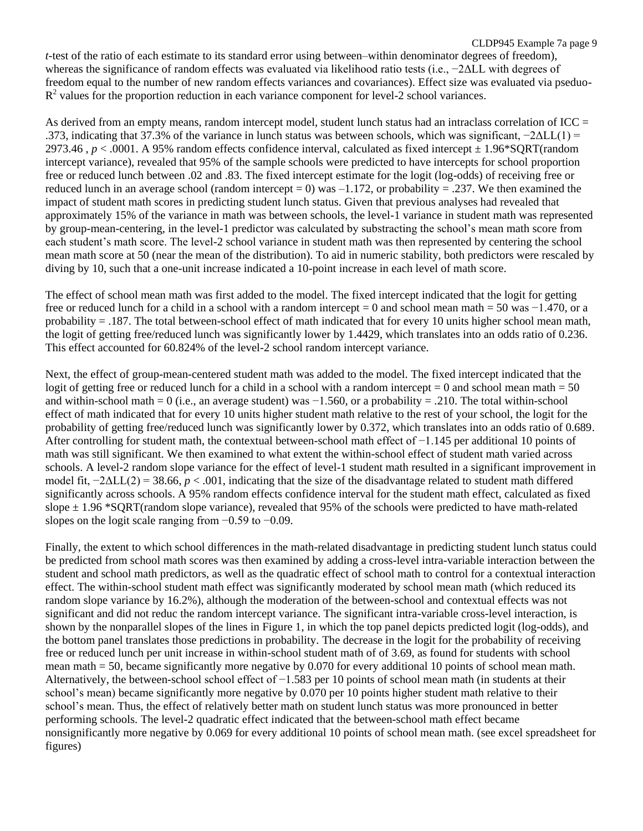CLDP945 Example 7a page 9 *t*-test of the ratio of each estimate to its standard error using between–within denominator degrees of freedom), whereas the significance of random effects was evaluated via likelihood ratio tests (i.e., −2ΔLL with degrees of freedom equal to the number of new random effects variances and covariances). Effect size was evaluated via pseduo- $R<sup>2</sup>$  values for the proportion reduction in each variance component for level-2 school variances.

As derived from an empty means, random intercept model, student lunch status had an intraclass correlation of ICC = .373, indicating that 37.3% of the variance in lunch status was between schools, which was significant, −2ΔLL(1) = 2973.46 ,  $p < .0001$ . A 95% random effects confidence interval, calculated as fixed intercept  $\pm 1.96*$ SQRT(random intercept variance), revealed that 95% of the sample schools were predicted to have intercepts for school proportion free or reduced lunch between .02 and .83. The fixed intercept estimate for the logit (log-odds) of receiving free or reduced lunch in an average school (random intercept = 0) was  $-1.172$ , or probability = .237. We then examined the impact of student math scores in predicting student lunch status. Given that previous analyses had revealed that approximately 15% of the variance in math was between schools, the level-1 variance in student math was represented by group-mean-centering, in the level-1 predictor was calculated by substracting the school's mean math score from each student's math score. The level-2 school variance in student math was then represented by centering the school mean math score at 50 (near the mean of the distribution). To aid in numeric stability, both predictors were rescaled by diving by 10, such that a one-unit increase indicated a 10-point increase in each level of math score.

The effect of school mean math was first added to the model. The fixed intercept indicated that the logit for getting free or reduced lunch for a child in a school with a random intercept = 0 and school mean math = 50 was  $-1.470$ , or a probability = .187. The total between-school effect of math indicated that for every 10 units higher school mean math, the logit of getting free/reduced lunch was significantly lower by 1.4429, which translates into an odds ratio of 0.236. This effect accounted for 60.824% of the level-2 school random intercept variance.

Next, the effect of group-mean-centered student math was added to the model. The fixed intercept indicated that the logit of getting free or reduced lunch for a child in a school with a random intercept  $= 0$  and school mean math  $= 50$ and within-school math = 0 (i.e., an average student) was  $-1.560$ , or a probability = .210. The total within-school effect of math indicated that for every 10 units higher student math relative to the rest of your school, the logit for the probability of getting free/reduced lunch was significantly lower by 0.372, which translates into an odds ratio of 0.689. After controlling for student math, the contextual between-school math effect of −1.145 per additional 10 points of math was still significant. We then examined to what extent the within-school effect of student math varied across schools. A level-2 random slope variance for the effect of level-1 student math resulted in a significant improvement in model fit,  $-2\Delta LL(2) = 38.66$ ,  $p < .001$ , indicating that the size of the disadvantage related to student math differed significantly across schools. A 95% random effects confidence interval for the student math effect, calculated as fixed slope  $\pm$  1.96 \*SQRT(random slope variance), revealed that 95% of the schools were predicted to have math-related slopes on the logit scale ranging from  $-0.59$  to  $-0.09$ .

Finally, the extent to which school differences in the math-related disadvantage in predicting student lunch status could be predicted from school math scores was then examined by adding a cross-level intra-variable interaction between the student and school math predictors, as well as the quadratic effect of school math to control for a contextual interaction effect. The within-school student math effect was significantly moderated by school mean math (which reduced its random slope variance by 16.2%), although the moderation of the between-school and contextual effects was not significant and did not reduc the random intercept variance. The significant intra-variable cross-level interaction, is shown by the nonparallel slopes of the lines in Figure 1, in which the top panel depicts predicted logit (log-odds), and the bottom panel translates those predictions in probability. The decrease in the logit for the probability of receiving free or reduced lunch per unit increase in within-school student math of of 3.69, as found for students with school mean math = 50, became significantly more negative by 0.070 for every additional 10 points of school mean math. Alternatively, the between-school school effect of −1.583 per 10 points of school mean math (in students at their school's mean) became significantly more negative by 0.070 per 10 points higher student math relative to their school's mean. Thus, the effect of relatively better math on student lunch status was more pronounced in better performing schools. The level-2 quadratic effect indicated that the between-school math effect became nonsignificantly more negative by 0.069 for every additional 10 points of school mean math. (see excel spreadsheet for figures)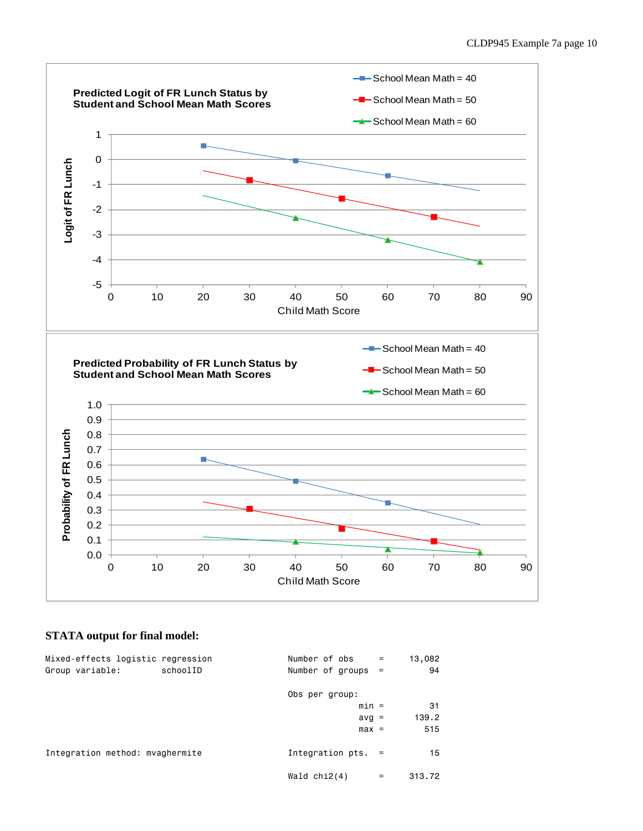

## **STATA output for final model:**

| Mixed-effects logistic regression<br>Group variable:<br>schoolID | Number of obs<br>$\equiv$<br>Number of groups $=$ | 13,082<br>94 |
|------------------------------------------------------------------|---------------------------------------------------|--------------|
|                                                                  | Obs per group:                                    |              |
|                                                                  | $min =$                                           | 31           |
|                                                                  | $avg =$                                           | 139.2        |
|                                                                  | $max =$                                           | 515          |
| Integration method: myaghermite                                  | Integration $pts. =$                              | 15           |
|                                                                  | Wald $chi2(4)$<br>=                               | 313.72       |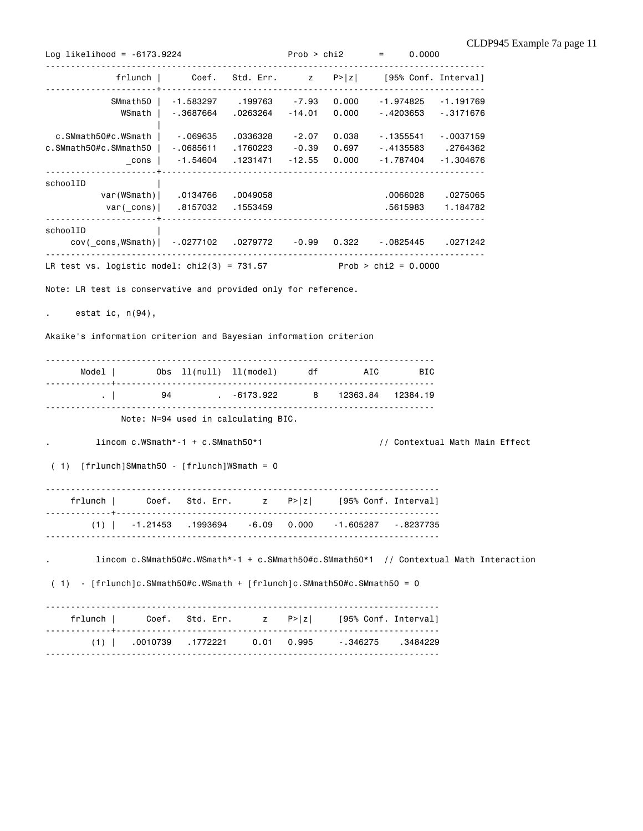Log likelihood = -6173.9224 Prob > chi2 = 0.0000 -------------------------------------------------------------------------------------- frlunch | Coef. Std. Err. z P>|z| [95% Conf. Interval] ----------------------+---------------------------------------------------------------- SMmath50 | -1.583297 .199763 -7.93 0.000 -1.974825 -1.191769 WSmath | -.3687664 .0263264 -14.01 0.000 -.4203653 -.3171676 | c.SMmath50#c.WSmath | -.069635 .0336328 -2.07 0.038 -.1355541 -.0037159 c.SMmath50#c.SMmath50 | -.0685611 .1760223 -0.39 0.697 -.4135583 .2764362 \_cons | -1.54604 .1231471 -12.55 0.000 -1.787404 -1.304676 ----------------------+--------------------------------------------------------------- schoolID | var(WSmath)| .0134766 .0049058 .0066028 .0275065 var(\_cons)| .8157032 .1553459 .5615983 1.184782 ----------------------+--------------------------------------------------------------- schoolID | cov(\_cons,WSmath)| -.0277102 .0279772 -0.99 0.322 -.0825445 .0271242 --------------------------------------------------------------------------------------- LR test vs. logistic model:  $chi(3) = 731.57$  Prob >  $chi(2) = 0.0000$ Note: LR test is conservative and provided only for reference. . estat ic, n(94), Akaike's information criterion and Bayesian information criterion ----------------------------------------------------------------------------- Model | Obs ll(null) ll(model) df AIC BIC -------------+--------------------------------------------------------------- . | 94 . -6173.922 8 12363.84 12384.19 ----------------------------------------------------------------------------- Note: N=94 used in calculating BIC. lincom c.WSmath\*-1 + c.SMmath50\*1 // Contextual Math Main Effect ( 1) [frlunch]SMmath50 - [frlunch]WSmath = 0 ----------------------------------------------------------------------------- frlunch | Coef. Std. Err. z P>|z| [95% Conf. Interval] -------------+---------------------------------------------------------------- (1) | -1.21453 .1993694 -6.09 0.000 -1.605287 -.8237735  $-$ . lincom c.SMmath50#c.WSmath\*-1 + c.SMmath50#c.SMmath50\*1 // Contextual Math Interaction ( 1) - [frlunch]c.SMmath50#c.WSmath + [frlunch]c.SMmath50#c.SMmath50 = 0 ----------------------------------------------------------------------------- frlunch | Coef. Std. Err. z P>|z| [95% Conf. Interval] -------------+---------------------------------------------------------------- (1) | .0010739 .1772221 0.01 0.995 -.346275 .3484229 ------------------------------------------------------------------------------